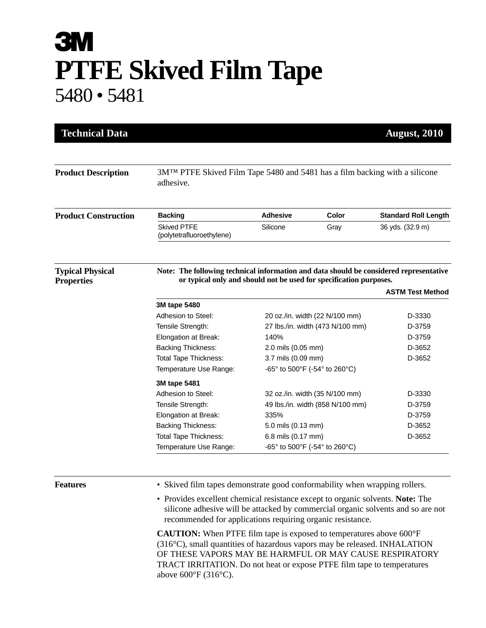## **3M PTFE Skived Film Tape** 5480 • 5481

| <b>Technical Data</b>                        |                                                                                                                                                              |                                  |       | <b>August, 2010</b>         |  |
|----------------------------------------------|--------------------------------------------------------------------------------------------------------------------------------------------------------------|----------------------------------|-------|-----------------------------|--|
| <b>Product Description</b>                   | 3M <sup>TM</sup> PTFE Skived Film Tape 5480 and 5481 has a film backing with a silicone<br>adhesive.                                                         |                                  |       |                             |  |
| <b>Product Construction</b>                  | <b>Backing</b>                                                                                                                                               | <b>Adhesive</b>                  | Color | <b>Standard Roll Length</b> |  |
|                                              | <b>Skived PTFE</b><br>(polytetrafluoroethylene)                                                                                                              | Silicone                         | Gray  | 36 yds. (32.9 m)            |  |
| <b>Typical Physical</b><br><b>Properties</b> | Note: The following technical information and data should be considered representative<br>or typical only and should not be used for specification purposes. |                                  |       |                             |  |
|                                              |                                                                                                                                                              |                                  |       | <b>ASTM Test Method</b>     |  |
|                                              | 3M tape 5480                                                                                                                                                 |                                  |       |                             |  |
|                                              | Adhesion to Steel:                                                                                                                                           | 20 oz./in. width (22 N/100 mm)   |       | D-3330                      |  |
|                                              | Tensile Strength:                                                                                                                                            | 27 lbs./in. width (473 N/100 mm) |       | D-3759                      |  |
|                                              | Elongation at Break:                                                                                                                                         | 140%                             |       | D-3759                      |  |
|                                              | <b>Backing Thickness:</b>                                                                                                                                    | 2.0 mils (0.05 mm)               |       | D-3652                      |  |
|                                              | <b>Total Tape Thickness:</b>                                                                                                                                 | 3.7 mils (0.09 mm)               |       | D-3652                      |  |
|                                              | Temperature Use Range:                                                                                                                                       | -65° to 500°F (-54° to 260°C)    |       |                             |  |
|                                              | 3M tape 5481                                                                                                                                                 |                                  |       |                             |  |
|                                              | Adhesion to Steel:                                                                                                                                           | 32 oz./in. width (35 N/100 mm)   |       | D-3330                      |  |
|                                              | Tensile Strength:                                                                                                                                            | 49 lbs./in. width (858 N/100 mm) |       | D-3759                      |  |
|                                              | Elongation at Break:                                                                                                                                         | 335%                             |       | D-3759                      |  |
|                                              | <b>Backing Thickness:</b>                                                                                                                                    | 5.0 mils (0.13 mm)               |       | D-3652                      |  |
|                                              | <b>Total Tape Thickness:</b>                                                                                                                                 | 6.8 mils (0.17 mm)               |       | D-3652                      |  |
|                                              |                                                                                                                                                              | -65° to 500°F (-54° to 260°C)    |       |                             |  |

• Provides excellent chemical resistance except to organic solvents. **Note:** The silicone adhesive will be attacked by commercial organic solvents and so are not recommended for applications requiring organic resistance.

**CAUTION:** When PTFE film tape is exposed to temperatures above 600°F (316°C), small quantities of hazardous vapors may be released. INHALATION OF THESE VAPORS MAY BE HARMFUL OR MAY CAUSE RESPIRATORY TRACT IRRITATION. Do not heat or expose PTFE film tape to temperatures above 600°F (316°C).